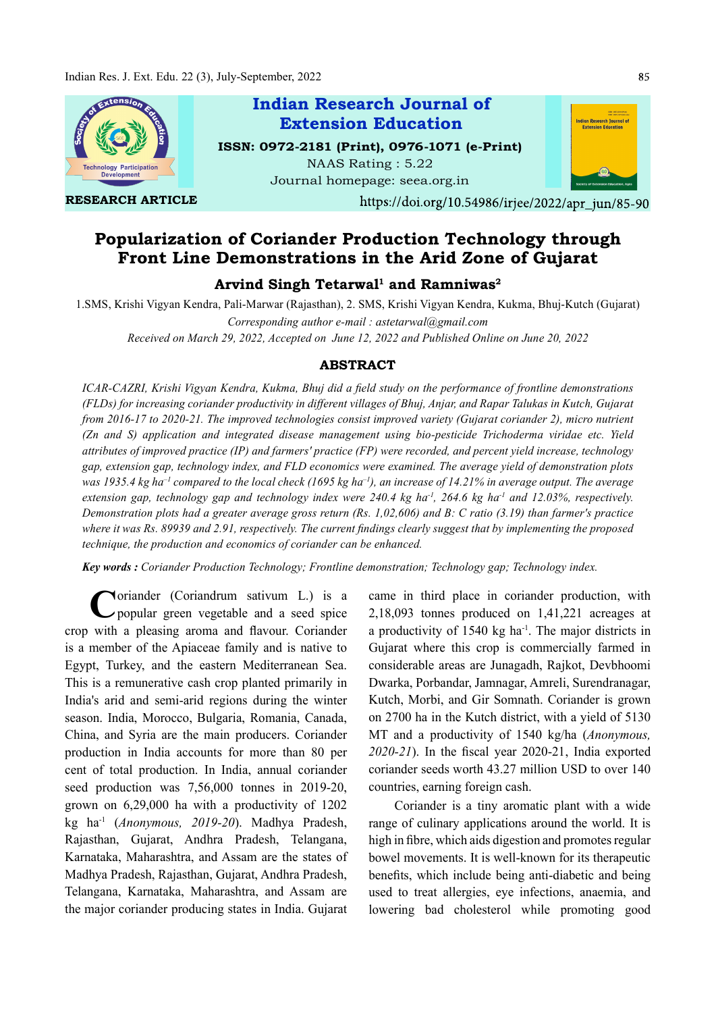

Popularization of Coriander Production Technology through Front Line Demonstrations in the Arid Zone of Gujarat

# Arvind Singh Tetarwal $^1$  and Ramniwas $^2$

1.SMS, Krishi Vigyan Kendra, Pali-Marwar (Rajasthan), 2. SMS, Krishi Vigyan Kendra, Kukma, Bhuj-Kutch (Gujarat) Corresponding author e-mail : astetarwal@gmail.com

Received on March 29, 2022, Accepted on June 12, 2022 and Published Online on June 20, 2022

# ABSTRACT

ICAR-CAZRI, Krishi Vigyan Kendra, Kukma, Bhuj did a field study on the performance of frontline demonstrations (FLDs) for increasing coriander productivity in different villages of Bhuj, Anjar, and Rapar Talukas in Kutch, Gujarat from 2016-17 to 2020-21. The improved technologies consist improved variety (Gujarat coriander 2), micro nutrient (Zn and S) application and integrated disease management using bio-pesticide Trichoderma viridae etc. Yield attributes of improved practice (IP) and farmers' practice (FP) were recorded, and percent yield increase, technology gap, extension gap, technology index, and FLD economics were examined. The average yield of demonstration plots was 1935.4 kg ha<sup>-1</sup> compared to the local check (1695 kg ha<sup>-1</sup>), an increase of 14.21% in average output. The average extension gap, technology gap and technology index were 240.4 kg ha<sup>-1</sup>, 264.6 kg ha<sup>-1</sup> and 12.03%, respectively. Demonstration plots had a greater average gross return (Rs. 1,02,606) and B: C ratio (3.19) than farmer's practice where it was Rs. 89939 and 2.91, respectively. The current findings clearly suggest that by implementing the proposed technique, the production and economics of coriander can be enhanced.

Key words : Coriander Production Technology; Frontline demonstration; Technology gap; Technology index.

Coriander (Coriandrum sativum L.) is a came in third<br>
popular green vegetable and a seed spice 2,18,093 tonn popular green vegetable and a seed spice crop with a pleasing aroma and flavour. Coriander is a member of the Apiaceae family and is native to Egypt, Turkey, and the eastern Mediterranean Sea. This is a remunerative cash crop planted primarily in India's arid and semi-arid regions during the winter season. India, Morocco, Bulgaria, Romania, Canada, China, and Syria are the main producers. Coriander production in India accounts for more than 80 per cent of total production. In India, annual coriander seed production was 7,56,000 tonnes in 2019-20, grown on 6,29,000 ha with a productivity of 1202 kg ha-1 (Anonymous, 2019-20). Madhya Pradesh, Rajasthan, Gujarat, Andhra Pradesh, Telangana, Karnataka, Maharashtra, and Assam are the states of Madhya Pradesh, Rajasthan, Gujarat, Andhra Pradesh, Telangana, Karnataka, Maharashtra, and Assam are the major coriander producing states in India. Gujarat

came in third place in coriander production, with 2,18,093 tonnes produced on 1,41,221 acreages at a productivity of  $1540 \text{ kg}$  ha<sup>-1</sup>. The major districts in Gujarat where this crop is commercially farmed in considerable areas are Junagadh, Rajkot, Devbhoomi Dwarka, Porbandar, Jamnagar, Amreli, Surendranagar, Kutch, Morbi, and Gir Somnath. Coriander is grown on 2700 ha in the Kutch district, with a yield of 5130 MT and a productivity of 1540 kg/ha (Anonymous,  $2020-21$ ). In the fiscal year 2020-21, India exported coriander seeds worth 43.27 million USD to over 140 countries, earning foreign cash.

Coriander is a tiny aromatic plant with a wide range of culinary applications around the world. It is high in fibre, which aids digestion and promotes regular bowel movements. It is well-known for its therapeutic benefits, which include being anti-diabetic and being used to treat allergies, eye infections, anaemia, and lowering bad cholesterol while promoting good

85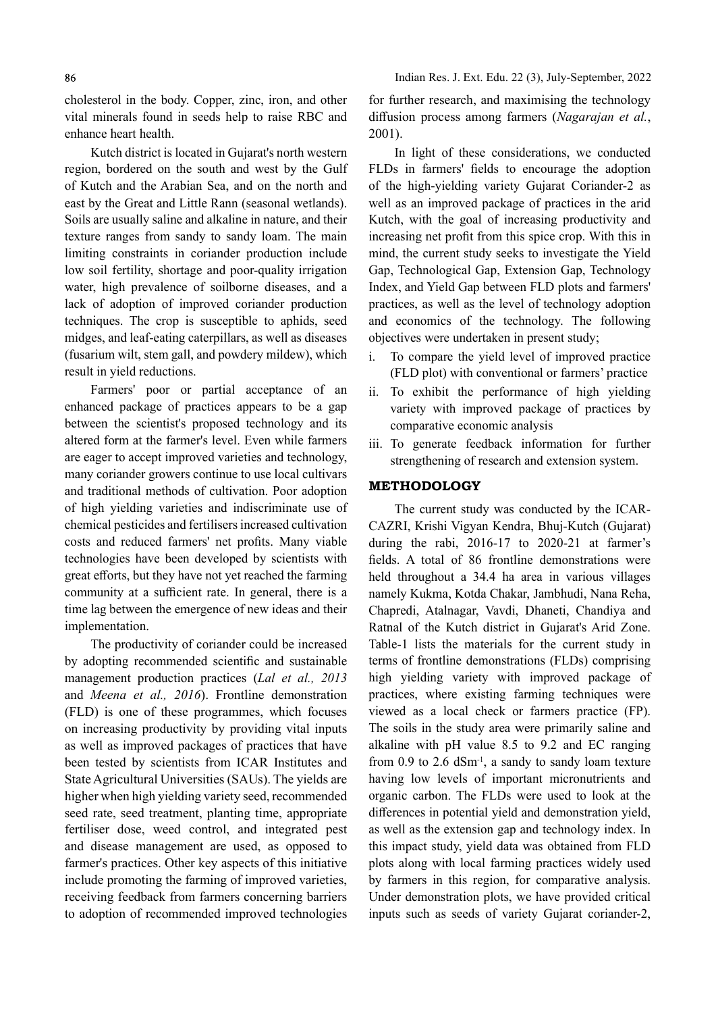cholesterol in the body. Copper, zinc, iron, and other vital minerals found in seeds help to raise RBC and enhance heart health.

Kutch district is located in Gujarat's north western region, bordered on the south and west by the Gulf of Kutch and the Arabian Sea, and on the north and east by the Great and Little Rann (seasonal wetlands). Soils are usually saline and alkaline in nature, and their texture ranges from sandy to sandy loam. The main limiting constraints in coriander production include low soil fertility, shortage and poor-quality irrigation water, high prevalence of soilborne diseases, and a lack of adoption of improved coriander production techniques. The crop is susceptible to aphids, seed midges, and leaf-eating caterpillars, as well as diseases (fusarium wilt, stem gall, and powdery mildew), which result in yield reductions.

Farmers' poor or partial acceptance of an ii. enhanced package of practices appears to be a gap between the scientist's proposed technology and its altered form at the farmer's level. Even while farmers are eager to accept improved varieties and technology, many coriander growers continue to use local cultivars and traditional methods of cultivation. Poor adoption of high yielding varieties and indiscriminate use of chemical pesticides and fertilisers increased cultivation costs and reduced farmers' net profits. Many viable technologies have been developed by scientists with great efforts, but they have not yet reached the farming community at a sufficient rate. In general, there is a time lag between the emergence of new ideas and their implementation.

The productivity of coriander could be increased by adopting recommended scientific and sustainable management production practices (Lal et al., 2013) and Meena et al., 2016). Frontline demonstration (FLD) is one of these programmes, which focuses on increasing productivity by providing vital inputs as well as improved packages of practices that have been tested by scientists from ICAR Institutes and State Agricultural Universities (SAUs). The yields are higher when high yielding variety seed, recommended seed rate, seed treatment, planting time, appropriate fertiliser dose, weed control, and integrated pest and disease management are used, as opposed to farmer's practices. Other key aspects of this initiative include promoting the farming of improved varieties, receiving feedback from farmers concerning barriers to adoption of recommended improved technologies

for further research, and maximising the technology diffusion process among farmers (Nagarajan et al., 2001).

In light of these considerations, we conducted FLDs in farmers' fields to encourage the adoption of the high-yielding variety Gujarat Coriander-2 as well as an improved package of practices in the arid Kutch, with the goal of increasing productivity and increasing net profit from this spice crop. With this in mind, the current study seeks to investigate the Yield Gap, Technological Gap, Extension Gap, Technology Index, and Yield Gap between FLD plots and farmers' practices, as well as the level of technology adoption and economics of the technology. The following objectives were undertaken in present study;

- To compare the yield level of improved practice (FLD plot) with conventional or farmers' practice
- To exhibit the performance of high yielding variety with improved package of practices by comparative economic analysis
- iii. To generate feedback information for further strengthening of research and extension system.

### METHODOLOGY

The current study was conducted by the ICAR-CAZRI, Krishi Vigyan Kendra, Bhuj-Kutch (Gujarat) during the rabi, 2016-17 to 2020-21 at farmer's fields. A total of 86 frontline demonstrations were held throughout a 34.4 ha area in various villages namely Kukma, Kotda Chakar, Jambhudi, Nana Reha, Chapredi, Atalnagar, Vavdi, Dhaneti, Chandiya and Ratnal of the Kutch district in Gujarat's Arid Zone. Table-1 lists the materials for the current study in terms of frontline demonstrations (FLDs) comprising high yielding variety with improved package of practices, where existing farming techniques were viewed as a local check or farmers practice (FP). The soils in the study area were primarily saline and alkaline with pH value 8.5 to 9.2 and EC ranging from  $0.9$  to  $2.6$  dSm<sup>-1</sup>, a sandy to sandy loam texture having low levels of important micronutrients and organic carbon. The FLDs were used to look at the differences in potential yield and demonstration yield, as well as the extension gap and technology index. In this impact study, yield data was obtained from FLD plots along with local farming practices widely used by farmers in this region, for comparative analysis. Under demonstration plots, we have provided critical inputs such as seeds of variety Gujarat coriander-2,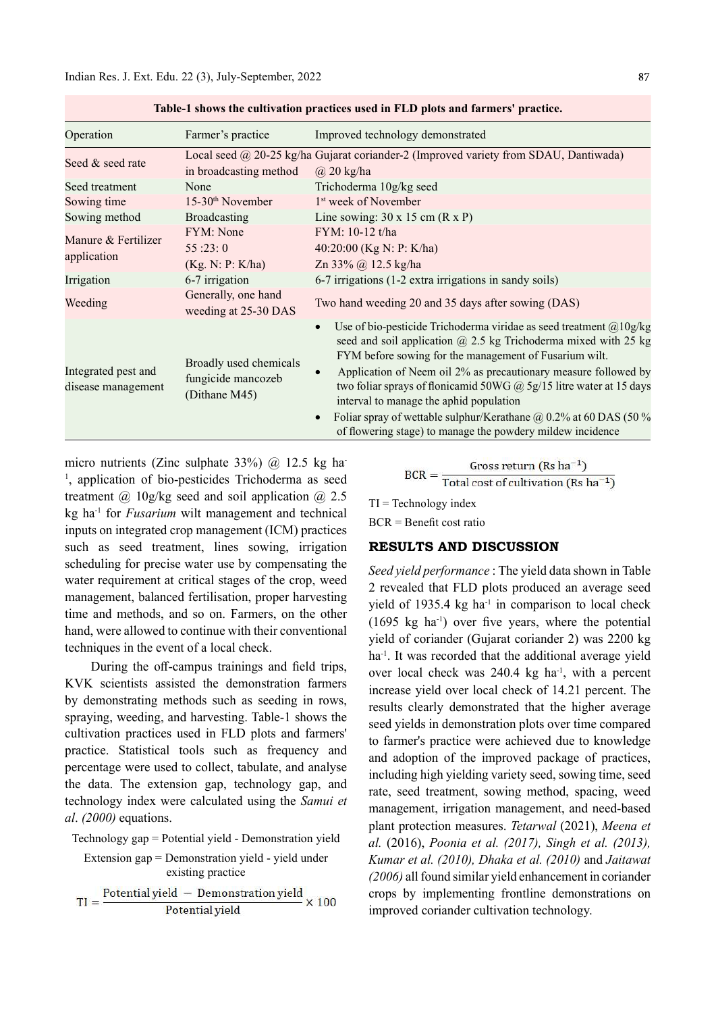| rabic-r shows the cuitivation practices used in FLD piots and farmers -practice. |                                                               |                                                                                                                                                                                                                                                                                                                                                                                                                                                                                                                                                        |  |  |  |
|----------------------------------------------------------------------------------|---------------------------------------------------------------|--------------------------------------------------------------------------------------------------------------------------------------------------------------------------------------------------------------------------------------------------------------------------------------------------------------------------------------------------------------------------------------------------------------------------------------------------------------------------------------------------------------------------------------------------------|--|--|--|
| Operation                                                                        | Farmer's practice                                             | Improved technology demonstrated                                                                                                                                                                                                                                                                                                                                                                                                                                                                                                                       |  |  |  |
| Seed & seed rate                                                                 | in broadcasting method                                        | Local seed @ 20-25 kg/ha Gujarat coriander-2 (Improved variety from SDAU, Dantiwada)<br>$\omega$ 20 kg/ha                                                                                                                                                                                                                                                                                                                                                                                                                                              |  |  |  |
| Seed treatment                                                                   | None                                                          | Trichoderma 10g/kg seed                                                                                                                                                                                                                                                                                                                                                                                                                                                                                                                                |  |  |  |
| Sowing time                                                                      | $15-30th$ November                                            | 1 <sup>st</sup> week of November                                                                                                                                                                                                                                                                                                                                                                                                                                                                                                                       |  |  |  |
| Sowing method                                                                    | Broadcasting                                                  | Line sowing: $30 \times 15$ cm $(R \times P)$                                                                                                                                                                                                                                                                                                                                                                                                                                                                                                          |  |  |  |
| Manure & Fertilizer<br>application                                               | <b>FYM</b> : None<br>55:23:0                                  | FYM: 10-12 t/ha<br>40:20:00 (Kg N: P: K/ha)                                                                                                                                                                                                                                                                                                                                                                                                                                                                                                            |  |  |  |
|                                                                                  | (Kg. N: P: K/ha)                                              | Zn 33% @ 12.5 kg/ha                                                                                                                                                                                                                                                                                                                                                                                                                                                                                                                                    |  |  |  |
| Irrigation                                                                       | 6-7 irrigation                                                | 6-7 irrigations (1-2 extra irrigations in sandy soils)                                                                                                                                                                                                                                                                                                                                                                                                                                                                                                 |  |  |  |
| Weeding                                                                          | Generally, one hand<br>weeding at 25-30 DAS                   | Two hand weeding 20 and 35 days after sowing (DAS)                                                                                                                                                                                                                                                                                                                                                                                                                                                                                                     |  |  |  |
| Integrated pest and<br>disease management                                        | Broadly used chemicals<br>fungicide mancozeb<br>(Dithane M45) | Use of bio-pesticide Trichoderma viridae as seed treatment $@10g/kg$<br>seed and soil application $@$ 2.5 kg Trichoderma mixed with 25 kg<br>FYM before sowing for the management of Fusarium wilt.<br>Application of Neem oil 2% as precautionary measure followed by<br>two foliar sprays of flonicamid 50WG $\omega$ 5g/15 litre water at 15 days<br>interval to manage the aphid population<br>Foliar spray of wettable sulphur/Kerathane $\omega$ 0.2% at 60 DAS (50 %<br>$\bullet$<br>of flowering stage) to manage the powdery mildew incidence |  |  |  |

Table-1 shows the cultivation practices used in FLD plots and farmers' practice.

micro nutrients (Zinc sulphate 33%)  $\omega$  12.5 kg ha-<sup>1</sup>, application of bio-pesticides Trichoderma as seed treatment  $\omega$  10g/kg seed and soil application  $\omega$  2.5 kg ha<sup>-1</sup> for *Fusarium* wilt management and technical inputs on integrated crop management (ICM) practices such as seed treatment, lines sowing, irrigation scheduling for precise water use by compensating the water requirement at critical stages of the crop, weed management, balanced fertilisation, proper harvesting time and methods, and so on. Farmers, on the other hand, were allowed to continue with their conventional techniques in the event of a local check.

During the off-campus trainings and field trips, KVK scientists assisted the demonstration farmers by demonstrating methods such as seeding in rows, spraying, weeding, and harvesting. Table-1 shows the cultivation practices used in FLD plots and farmers' practice. Statistical tools such as frequency and percentage were used to collect, tabulate, and analyse the data. The extension gap, technology gap, and technology index were calculated using the Samui et al. (2000) equations.

Technology gap = Potential yield - Demonstration yield

Extension gap = Demonstration yield - yield under  
\nexisting practice

\n
$$
TI = \frac{Potential \text{ yield } - Demonstration \text{ yield}}{Potential \text{ yield}} \times 100
$$

$$
BCR = \frac{Gross return (Rs ha^{-1})}{Total cost of cultivation (Rs ha^{-1})}
$$

 $TI = Technology$  index  $BCR =$ Benefit cost ratio

# RESULTS AND DISCUSSION

Seed yield performance : The yield data shown in Table 2 revealed that FLD plots produced an average seed yield of 1935.4 kg ha $^{-1}$  in comparison to local check  $(1695 \text{ kg} \text{ ha}^{-1})$  over five years, where the potential yield of coriander (Gujarat coriander 2) was 2200 kg ha<sup>-1</sup>. It was recorded that the additional average yield over local check was  $240.4$  kg ha<sup>-1</sup>, with a percent increase yield over local check of 14.21 percent. The results clearly demonstrated that the higher average seed yields in demonstration plots over time compared to farmer's practice were achieved due to knowledge and adoption of the improved package of practices, including high yielding variety seed, sowing time, seed rate, seed treatment, sowing method, spacing, weed management, irrigation management, and need-based plant protection measures. Tetarwal (2021), Meena et al. (2016), Poonia et al. (2017), Singh et al. (2013), Kumar et al. (2010), Dhaka et al. (2010) and Jaitawat (2006) all found similar yield enhancement in coriander crops by implementing frontline demonstrations on improved coriander cultivation technology.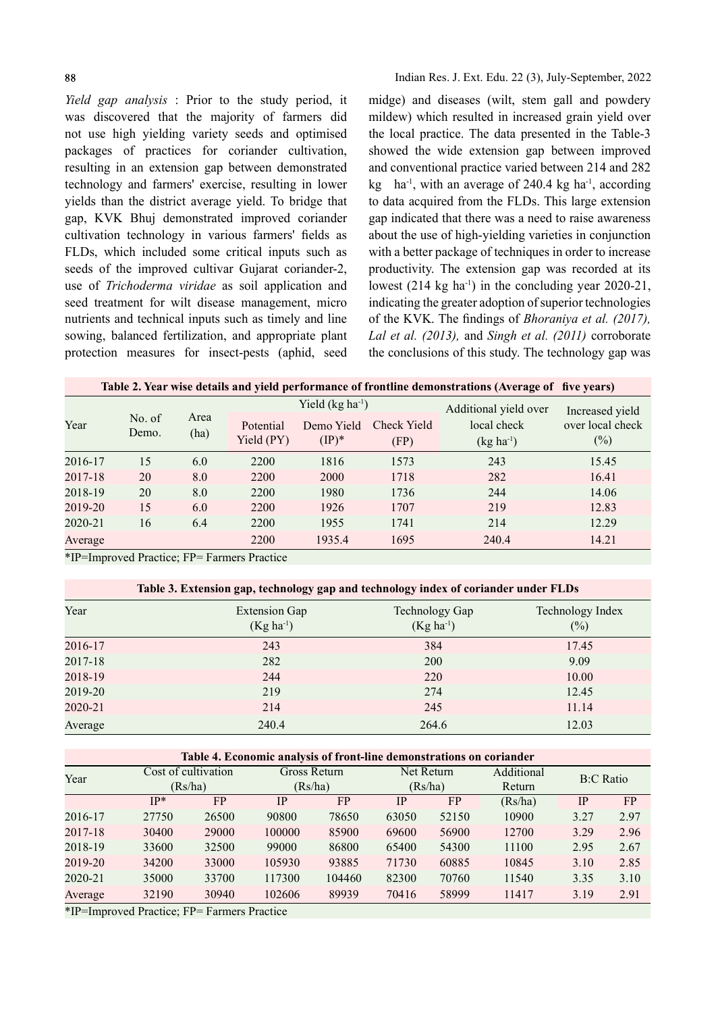Yield gap analysis : Prior to the study period, it was discovered that the majority of farmers did not use high yielding variety seeds and optimised packages of practices for coriander cultivation, resulting in an extension gap between demonstrated technology and farmers' exercise, resulting in lower yields than the district average yield. To bridge that gap, KVK Bhuj demonstrated improved coriander cultivation technology in various farmers' fields as FLDs, which included some critical inputs such as seeds of the improved cultivar Gujarat coriander-2, use of Trichoderma viridae as soil application and seed treatment for wilt disease management, micro nutrients and technical inputs such as timely and line sowing, balanced fertilization, and appropriate plant protection measures for insect-pests (aphid, seed midge) and diseases (wilt, stem gall and powdery mildew) which resulted in increased grain yield over the local practice. The data presented in the Table-3 showed the wide extension gap between improved and conventional practice varied between 214 and 282 kg ha<sup>-1</sup>, with an average of 240.4 kg ha<sup>-1</sup>, according to data acquired from the FLDs. This large extension gap indicated that there was a need to raise awareness about the use of high-yielding varieties in conjunction with a better package of techniques in order to increase productivity. The extension gap was recorded at its lowest  $(214 \text{ kg ha}^{-1})$  in the concluding year 2020-21, indicating the greater adoption of superior technologies of the KVK. The findings of *Bhoraniya et al. (2017)*, Lal et al. (2013), and Singh et al. (2011) corroborate the conclusions of this study. The technology gap was

| Year    |                 |              | Yield $(kg ha^{-1})$    |                               |                     | Additional yield over         | Increased yield            |  |
|---------|-----------------|--------------|-------------------------|-------------------------------|---------------------|-------------------------------|----------------------------|--|
|         | No. of<br>Demo. | Area<br>(ha) | Potential<br>Yield (PY) | Demo Yield<br>$(\text{IP})^*$ | Check Yield<br>(FP) | local check<br>$(kg ha^{-1})$ | over local check<br>$(\%)$ |  |
| 2016-17 | 15              | 6.0          | 2200                    | 1816                          | 1573                | 243                           | 15.45                      |  |
| 2017-18 | 20              | 8.0          | 2200                    | 2000                          | 1718                | 282                           | 16.41                      |  |
| 2018-19 | 20              | 8.0          | 2200                    | 1980                          | 1736                | 244                           | 14.06                      |  |
| 2019-20 | 15              | 6.0          | 2200                    | 1926                          | 1707                | 219                           | 12.83                      |  |
| 2020-21 | 16              | 6.4          | 2200                    | 1955                          | 1741                | 214                           | 12.29                      |  |
| Average |                 |              | 2200                    | 1935.4                        | 1695                | 240.4                         | 14.21                      |  |

\*IP=Improved Practice; FP= Farmers Practice

| Year    | <b>Extension Gap</b><br>$(Kg ha^{-1})$ | Technology Gap<br>$(Kg ha^{-1})$ | Technology Index<br>(%) |
|---------|----------------------------------------|----------------------------------|-------------------------|
| 2016-17 | 243                                    | 384                              | 17.45                   |
| 2017-18 | 282                                    | 200                              | 9.09                    |
| 2018-19 | 244                                    | 220                              | 10.00                   |
| 2019-20 | 219                                    | 274                              | 12.45                   |
| 2020-21 | 214                                    | 245                              | 11.14                   |
| Average | 240.4                                  | 264.6                            | 12.03                   |

| Table 4. Economic analysis of front-line demonstrations on coriander |  |
|----------------------------------------------------------------------|--|
|                                                                      |  |

| Year            |                                        | Cost of cultivation       |            | Gross Return |       | Net Return | Additional |           | <b>B:C</b> Ratio |  |
|-----------------|----------------------------------------|---------------------------|------------|--------------|-------|------------|------------|-----------|------------------|--|
|                 |                                        | (Rs/ha)                   |            | (Rs/ha)      |       | (Rs/ha)    | Return     |           |                  |  |
|                 | $IP*$                                  | <b>FP</b>                 | <b>IP</b>  | FP.          | IP    | <b>FP</b>  | (Rs/ha)    | <b>IP</b> | <b>FP</b>        |  |
| 2016-17         | 27750                                  | 26500                     | 90800      | 78650        | 63050 | 52150      | 10900      | 3.27      | 2.97             |  |
| 2017-18         | 30400                                  | 29000                     | 100000     | 85900        | 69600 | 56900      | 12700      | 3.29      | 2.96             |  |
| 2018-19         | 33600                                  | 32500                     | 99000      | 86800        | 65400 | 54300      | 11100      | 2.95      | 2.67             |  |
| 2019-20         | 34200                                  | 33000                     | 105930     | 93885        | 71730 | 60885      | 10845      | 3.10      | 2.85             |  |
| 2020-21         | 35000                                  | 33700                     | 117300     | 104460       | 82300 | 70760      | 11540      | 3.35      | 3.10             |  |
| Average         | 32190                                  | 30940                     | 102606     | 89939        | 70416 | 58999      | 11417      | 3.19      | 2.91             |  |
| 4T <sub>D</sub> | $\mathbf{1}$ $\mathbf{R}$ $\mathbf{I}$ | $\mathbf{m}$ $\mathbf{n}$ | $\sqrt{ }$ |              |       |            |            |           |                  |  |

\*IP=Improved Practice; FP= Farmers Practice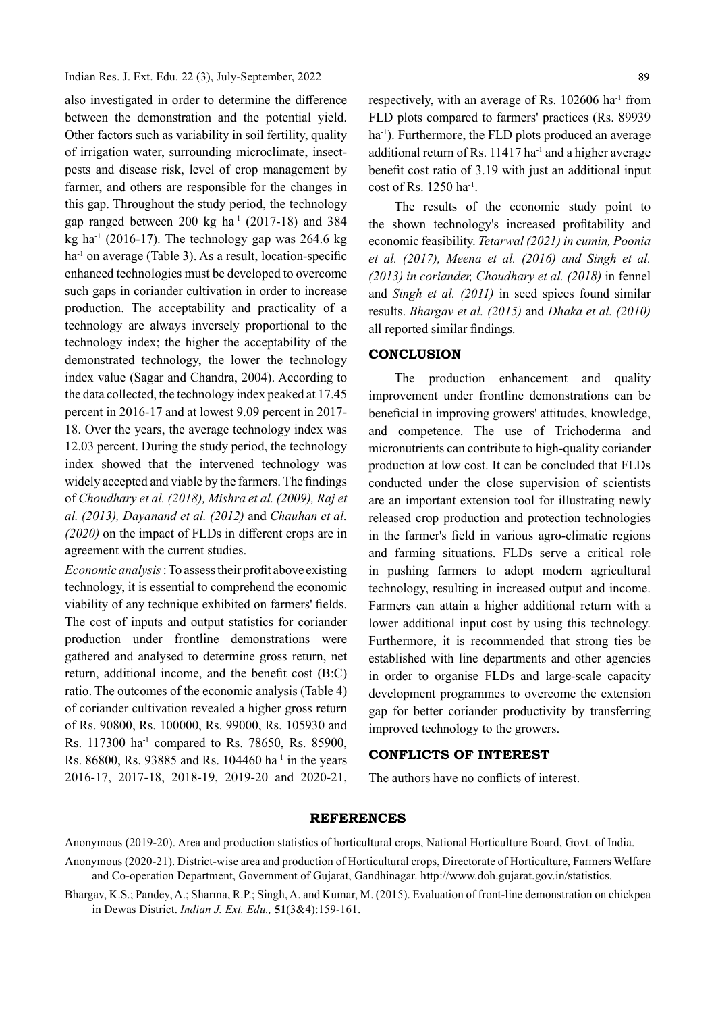also investigated in order to determine the difference between the demonstration and the potential yield. Other factors such as variability in soil fertility, quality of irrigation water, surrounding microclimate, insectpests and disease risk, level of crop management by farmer, and others are responsible for the changes in this gap. Throughout the study period, the technology gap ranged between 200 kg ha<sup>-1</sup> (2017-18) and 384 kg ha<sup>-1</sup> (2016-17). The technology gap was 264.6 kg  $ha<sup>-1</sup>$  on average (Table 3). As a result, location-specific enhanced technologies must be developed to overcome such gaps in coriander cultivation in order to increase production. The acceptability and practicality of a technology are always inversely proportional to the technology index; the higher the acceptability of the demonstrated technology, the lower the technology index value (Sagar and Chandra, 2004). According to the data collected, the technology index peaked at 17.45 percent in 2016-17 and at lowest 9.09 percent in 2017- 18. Over the years, the average technology index was 12.03 percent. During the study period, the technology index showed that the intervened technology was widely accepted and viable by the farmers. The findings of Choudhary et al. (2018), Mishra et al. (2009), Raj et al. (2013), Dayanand et al. (2012) and Chauhan et al.  $(2020)$  on the impact of FLDs in different crops are in agreement with the current studies.

Economic analysis: To assess their profit above existing technology, it is essential to comprehend the economic viability of any technique exhibited on farmers' fields. The cost of inputs and output statistics for coriander production under frontline demonstrations were gathered and analysed to determine gross return, net return, additional income, and the benefit cost  $(B:C)$ ratio. The outcomes of the economic analysis (Table 4) of coriander cultivation revealed a higher gross return of Rs. 90800, Rs. 100000, Rs. 99000, Rs. 105930 and Rs. 117300 ha<sup>-1</sup> compared to Rs. 78650, Rs. 85900, Rs. 86800, Rs. 93885 and Rs. 104460 ha<sup>-1</sup> in the years 2016-17, 2017-18, 2018-19, 2019-20 and 2020-21,

respectively, with an average of Rs. 102606 ha<sup>-1</sup> from FLD plots compared to farmers' practices (Rs. 89939 ha<sup>-1</sup>). Furthermore, the FLD plots produced an average additional return of Rs.  $11417$  ha<sup>-1</sup> and a higher average benefit cost ratio of 3.19 with just an additional input cost of Rs. 1250 ha-1.

The results of the economic study point to the shown technology's increased profitability and economic feasibility. Tetarwal (2021) in cumin, Poonia et al. (2017), Meena et al. (2016) and Singh et al. (2013) in coriander, Choudhary et al. (2018) in fennel and Singh et al. (2011) in seed spices found similar results. Bhargav et al. (2015) and Dhaka et al. (2010) all reported similar findings.

### **CONCLUSION**

The production enhancement and quality improvement under frontline demonstrations can be beneficial in improving growers' attitudes, knowledge, and competence. The use of Trichoderma and micronutrients can contribute to high-quality coriander production at low cost. It can be concluded that FLDs conducted under the close supervision of scientists are an important extension tool for illustrating newly released crop production and protection technologies in the farmer's field in various agro-climatic regions and farming situations. FLDs serve a critical role in pushing farmers to adopt modern agricultural technology, resulting in increased output and income. Farmers can attain a higher additional return with a lower additional input cost by using this technology. Furthermore, it is recommended that strong ties be established with line departments and other agencies in order to organise FLDs and large-scale capacity development programmes to overcome the extension gap for better coriander productivity by transferring improved technology to the growers.

## CONFLICTS OF INTEREST

The authors have no conflicts of interest.

### REFERENCES

Anonymous (2019-20). Area and production statistics of horticultural crops, National Horticulture Board, Govt. of India.

Anonymous (2020-21). District-wise area and production of Horticultural crops, Directorate of Horticulture, Farmers Welfare and Co-operation Department, Government of Gujarat, Gandhinagar. http://www.doh.gujarat.gov.in/statistics.<br>Bhargav, K.S.; Pandey, A.; Sharma, R.P.; Singh, A. and Kumar, M. (2015). Evaluation of front-line demonstration on

in Dewas District. Indian J. Ext. Edu., 51(3&4):159-161.